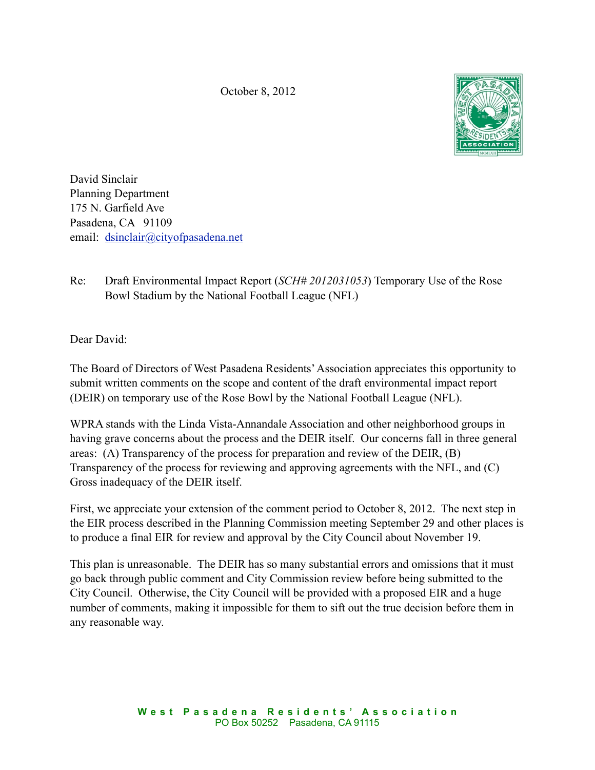October 8, 2012



David Sinclair Planning Department 175 N. Garfield Ave Pasadena, CA 91109 email: [dsinclair@cityofpasadena.net](mailto:dsinclair@cityofpasadena.net)

Re: Draft Environmental Impact Report (*SCH# 2012031053*) Temporary Use of the Rose Bowl Stadium by the National Football League (NFL)

Dear David:

The Board of Directors of West Pasadena Residents' Association appreciates this opportunity to submit written comments on the scope and content of the draft environmental impact report (DEIR) on temporary use of the Rose Bowl by the National Football League (NFL).

WPRA stands with the Linda Vista-Annandale Association and other neighborhood groups in having grave concerns about the process and the DEIR itself. Our concerns fall in three general areas: (A) Transparency of the process for preparation and review of the DEIR, (B) Transparency of the process for reviewing and approving agreements with the NFL, and (C) Gross inadequacy of the DEIR itself.

First, we appreciate your extension of the comment period to October 8, 2012. The next step in the EIR process described in the Planning Commission meeting September 29 and other places is to produce a final EIR for review and approval by the City Council about November 19.

This plan is unreasonable. The DEIR has so many substantial errors and omissions that it must go back through public comment and City Commission review before being submitted to the City Council. Otherwise, the City Council will be provided with a proposed EIR and a huge number of comments, making it impossible for them to sift out the true decision before them in any reasonable way.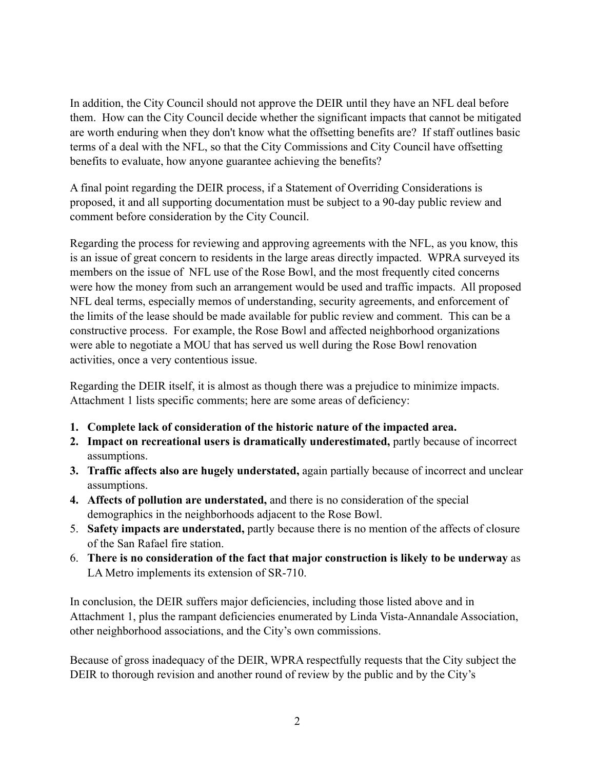In addition, the City Council should not approve the DEIR until they have an NFL deal before them. How can the City Council decide whether the significant impacts that cannot be mitigated are worth enduring when they don't know what the offsetting benefits are? If staff outlines basic terms of a deal with the NFL, so that the City Commissions and City Council have offsetting benefits to evaluate, how anyone guarantee achieving the benefits?

A final point regarding the DEIR process, if a Statement of Overriding Considerations is proposed, it and all supporting documentation must be subject to a 90-day public review and comment before consideration by the City Council.

Regarding the process for reviewing and approving agreements with the NFL, as you know, this is an issue of great concern to residents in the large areas directly impacted. WPRA surveyed its members on the issue of NFL use of the Rose Bowl, and the most frequently cited concerns were how the money from such an arrangement would be used and traffic impacts. All proposed NFL deal terms, especially memos of understanding, security agreements, and enforcement of the limits of the lease should be made available for public review and comment. This can be a constructive process. For example, the Rose Bowl and affected neighborhood organizations were able to negotiate a MOU that has served us well during the Rose Bowl renovation activities, once a very contentious issue.

Regarding the DEIR itself, it is almost as though there was a prejudice to minimize impacts. Attachment 1 lists specific comments; here are some areas of deficiency:

- **1. Complete lack of consideration of the historic nature of the impacted area.**
- **2. Impact on recreational users is dramatically underestimated,** partly because of incorrect assumptions.
- **3. Traffic affects also are hugely understated,** again partially because of incorrect and unclear assumptions.
- **4. Affects of pollution are understated,** and there is no consideration of the special demographics in the neighborhoods adjacent to the Rose Bowl.
- 5. **Safety impacts are understated,** partly because there is no mention of the affects of closure of the San Rafael fire station.
- 6. **There is no consideration of the fact that major construction is likely to be underway** as LA Metro implements its extension of SR-710.

In conclusion, the DEIR suffers major deficiencies, including those listed above and in Attachment 1, plus the rampant deficiencies enumerated by Linda Vista-Annandale Association, other neighborhood associations, and the City's own commissions.

Because of gross inadequacy of the DEIR, WPRA respectfully requests that the City subject the DEIR to thorough revision and another round of review by the public and by the City's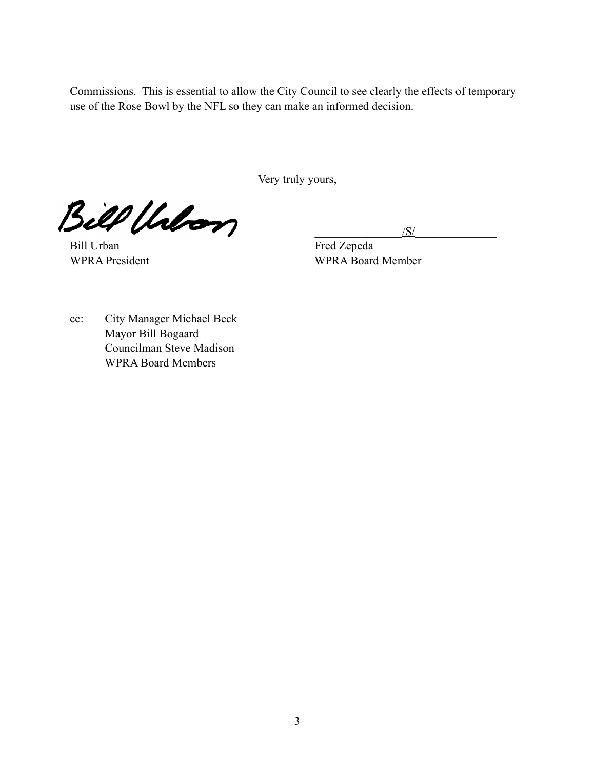Commissions. This is essential to allow the City Council to see clearly the effects of temporary use of the Rose Bowl by the NFL so they can make an informed decision.

Very truly yours,

 $\mathcal{Bill}$  theory

Bill Urban Fred Zepeda

WPRA President WPRA Board Member

cc: City Manager Michael Beck Mayor Bill Bogaard Councilman Steve Madison WPRA Board Members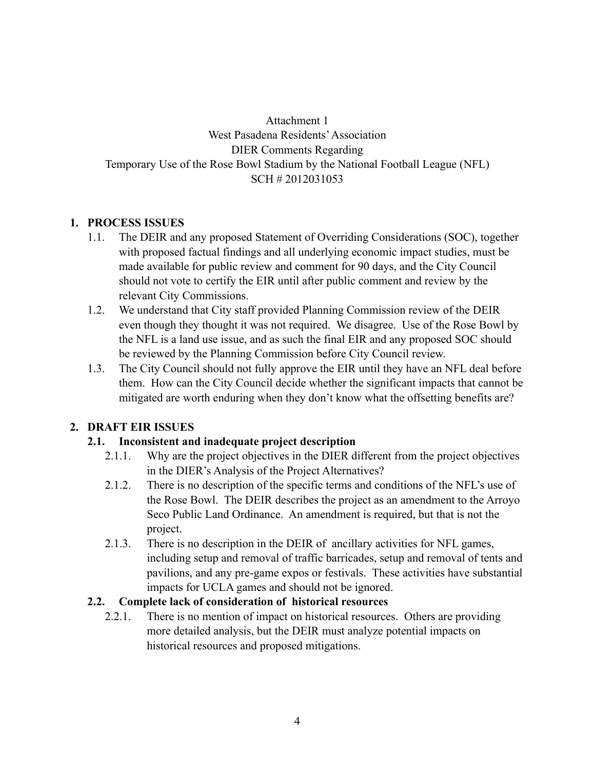Attachment 1 West Pasadena Residents' Association DIER Comments Regarding Temporary Use of the Rose Bowl Stadium by the National Football League (NFL) SCH # 2012031053

## **1. PROCESS ISSUES**

- 1.1. The DEIR and any proposed Statement of Overriding Considerations (SOC), together with proposed factual findings and all underlying economic impact studies, must be made available for public review and comment for 90 days, and the City Council should not vote to certify the EIR until after public comment and review by the relevant City Commissions.
- 1.2. We understand that City staff provided Planning Commission review of the DEIR even though they thought it was not required. We disagree. Use of the Rose Bowl by the NFL is a land use issue, and as such the final EIR and any proposed SOC should be reviewed by the Planning Commission before City Council review.
- 1.3. The City Council should not fully approve the EIR until they have an NFL deal before them. How can the City Council decide whether the significant impacts that cannot be mitigated are worth enduring when they don't know what the offsetting benefits are?

### **2. DRAFT EIR ISSUES**

### **2.1. Inconsistent and inadequate project description**

- 2.1.1. Why are the project objectives in the DIER different from the project objectives in the DIER's Analysis of the Project Alternatives?
- 2.1.2. There is no description of the specific terms and conditions of the NFL's use of the Rose Bowl. The DEIR describes the project as an amendment to the Arroyo Seco Public Land Ordinance. An amendment is required, but that is not the project.
- 2.1.3. There is no description in the DEIR of ancillary activities for NFL games, including setup and removal of traffic barricades, setup and removal of tents and pavilions, and any pre-game expos or festivals. These activities have substantial impacts for UCLA games and should not be ignored.

### **2.2. Complete lack of consideration of historical resources**

2.2.1. There is no mention of impact on historical resources. Others are providing more detailed analysis, but the DEIR must analyze potential impacts on historical resources and proposed mitigations.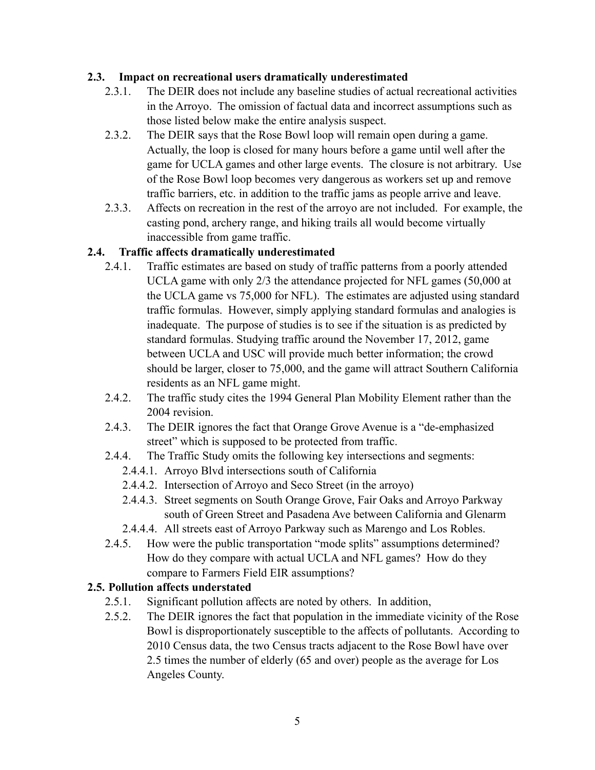### **2.3. Impact on recreational users dramatically underestimated**

- 2.3.1. The DEIR does not include any baseline studies of actual recreational activities in the Arroyo. The omission of factual data and incorrect assumptions such as those listed below make the entire analysis suspect.
- 2.3.2. The DEIR says that the Rose Bowl loop will remain open during a game. Actually, the loop is closed for many hours before a game until well after the game for UCLA games and other large events. The closure is not arbitrary. Use of the Rose Bowl loop becomes very dangerous as workers set up and remove traffic barriers, etc. in addition to the traffic jams as people arrive and leave.
- 2.3.3. Affects on recreation in the rest of the arroyo are not included. For example, the casting pond, archery range, and hiking trails all would become virtually inaccessible from game traffic.

### **2.4. Traffic affects dramatically underestimated**

- 2.4.1. Traffic estimates are based on study of traffic patterns from a poorly attended UCLA game with only 2/3 the attendance projected for NFL games (50,000 at the UCLA game vs 75,000 for NFL). The estimates are adjusted using standard traffic formulas. However, simply applying standard formulas and analogies is inadequate. The purpose of studies is to see if the situation is as predicted by standard formulas. Studying traffic around the November 17, 2012, game between UCLA and USC will provide much better information; the crowd should be larger, closer to 75,000, and the game will attract Southern California residents as an NFL game might.
- 2.4.2. The traffic study cites the 1994 General Plan Mobility Element rather than the 2004 revision.
- 2.4.3. The DEIR ignores the fact that Orange Grove Avenue is a "de-emphasized street" which is supposed to be protected from traffic.
- 2.4.4. The Traffic Study omits the following key intersections and segments:
	- 2.4.4.1. Arroyo Blvd intersections south of California
	- 2.4.4.2. Intersection of Arroyo and Seco Street (in the arroyo)
	- 2.4.4.3. Street segments on South Orange Grove, Fair Oaks and Arroyo Parkway south of Green Street and Pasadena Ave between California and Glenarm
	- 2.4.4.4. All streets east of Arroyo Parkway such as Marengo and Los Robles.
- 2.4.5. How were the public transportation "mode splits" assumptions determined? How do they compare with actual UCLA and NFL games? How do they compare to Farmers Field EIR assumptions?

### **2.5. Pollution affects understated**

- 2.5.1. Significant pollution affects are noted by others. In addition,
- 2.5.2. The DEIR ignores the fact that population in the immediate vicinity of the Rose Bowl is disproportionately susceptible to the affects of pollutants. According to 2010 Census data, the two Census tracts adjacent to the Rose Bowl have over 2.5 times the number of elderly (65 and over) people as the average for Los Angeles County.